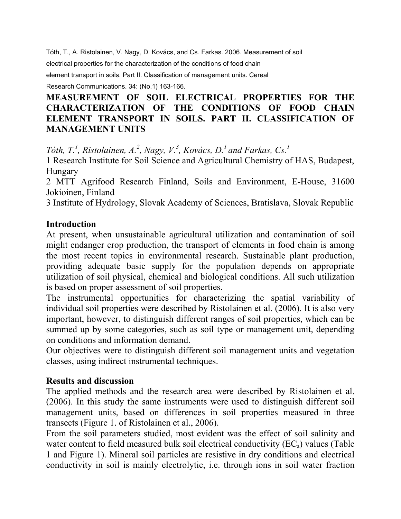Tóth, T., A. Ristolainen, V. Nagy, D. Kovács, and Cs. Farkas. 2006. Measurement of soil

electrical properties for the characterization of the conditions of food chain

element transport in soils. Part II. Classification of management units. Cereal

Research Communications. 34: (No.1) 163-166.

# **MEASUREMENT OF SOIL ELECTRICAL PROPERTIES FOR THE CHARACTERIZATION OF THE CONDITIONS OF FOOD CHAIN ELEMENT TRANSPORT IN SOILS. PART II. CLASSIFICATION OF MANAGEMENT UNITS**

*Tóth, T.<sup>1</sup>, Ristolainen, A.<sup>2</sup>, Nagy, V.<sup>3</sup>, Kovács, D.<sup>1</sup> and Farkas, Cs.<sup>1</sup>* 

1 Research Institute for Soil Science and Agricultural Chemistry of HAS, Budapest, Hungary

2 MTT Agrifood Research Finland, Soils and Environment, E-House, 31600 Jokioinen, Finland

3 Institute of Hydrology, Slovak Academy of Sciences, Bratislava, Slovak Republic

### **Introduction**

At present, when unsustainable agricultural utilization and contamination of soil might endanger crop production, the transport of elements in food chain is among the most recent topics in environmental research. Sustainable plant production, providing adequate basic supply for the population depends on appropriate utilization of soil physical, chemical and biological conditions. All such utilization is based on proper assessment of soil properties.

The instrumental opportunities for characterizing the spatial variability of individual soil properties were described by Ristolainen et al. (2006). It is also very important, however, to distinguish different ranges of soil properties, which can be summed up by some categories, such as soil type or management unit, depending on conditions and information demand.

Our objectives were to distinguish different soil management units and vegetation classes, using indirect instrumental techniques.

### **Results and discussion**

The applied methods and the research area were described by Ristolainen et al. (2006). In this study the same instruments were used to distinguish different soil management units, based on differences in soil properties measured in three transects (Figure 1. of Ristolainen et al., 2006).

From the soil parameters studied, most evident was the effect of soil salinity and water content to field measured bulk soil electrical conductivity  $(EC_a)$  values (Table 1 and Figure 1). Mineral soil particles are resistive in dry conditions and electrical conductivity in soil is mainly electrolytic, i.e. through ions in soil water fraction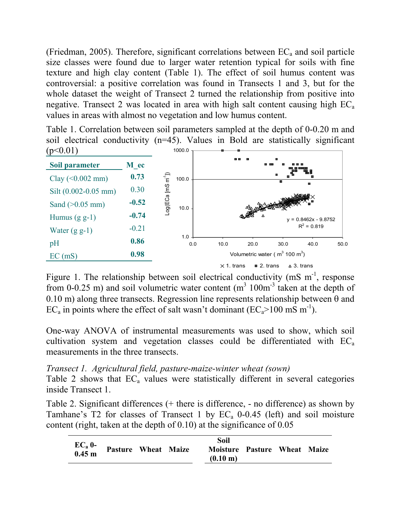(Friedman, 2005). Therefore, significant correlations between  $EC<sub>a</sub>$  and soil particle size classes were found due to larger water retention typical for soils with fine texture and high clay content (Table 1). The effect of soil humus content was controversial: a positive correlation was found in Transects 1 and 3, but for the whole dataset the weight of Transect 2 turned the relationship from positive into negative. Transect 2 was located in area with high salt content causing high  $EC_a$ values in areas with almost no vegetation and low humus content.

Table 1. Correlation between soil parameters sampled at the depth of 0-0.20 m and soil electrical conductivity (n=45). Values in Bold are statistically significant  $(p<0.01)$ 1000.0



Figure 1. The relationship between soil electrical conductivity (mS  $m^{-1}$ , response from 0-0.25 m) and soil volumetric water content  $(m<sup>3</sup> 100m<sup>-3</sup>$  taken at the depth of 0.10 m) along three transects. Regression line represents relationship between  $\theta$  and EC<sub>a</sub> in points where the effect of salt wasn't dominant (EC<sub>a</sub>>100 mS m<sup>-1</sup>).

One-way ANOVA of instrumental measurements was used to show, which soil cultivation system and vegetation classes could be differentiated with  $EC_a$ measurements in the three transects.

# *Transect 1. Agricultural field, pasture-maize-winter wheat (sown)*

Table 2 shows that  $EC_a$  values were statistically different in several categories inside Transect 1.

Table 2. Significant differences (+ there is difference, - no difference) as shown by Tamhane's T2 for classes of Transect 1 by  $EC_a$  0-0.45 (left) and soil moisture content (right, taken at the depth of 0.10) at the significance of 0.05

| <b>Pasture Wheat Maize</b><br>Moisture Pasture Wheat Maize |                       |  | Soil |  |  |
|------------------------------------------------------------|-----------------------|--|------|--|--|
| $(0.10 \text{ m})$                                         | $EC_a$ 0-<br>$0.45$ m |  |      |  |  |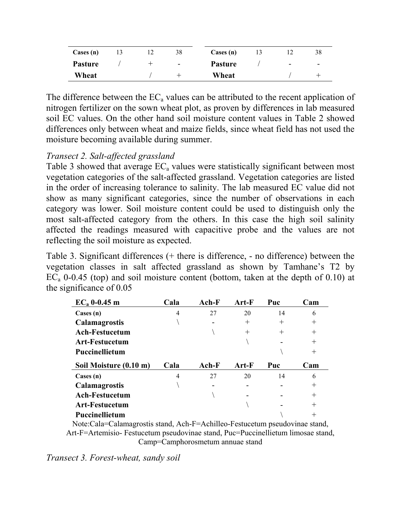| $\text{Case}(n)$ |  | 38                       | Cases (n)      |                          | 38                       |
|------------------|--|--------------------------|----------------|--------------------------|--------------------------|
| <b>Pasture</b>   |  | $\overline{\phantom{a}}$ | <b>Pasture</b> | $\overline{\phantom{a}}$ | $\overline{\phantom{a}}$ |
| Wheat            |  |                          | Wheat          |                          |                          |

The difference between the  $EC_a$  values can be attributed to the recent application of nitrogen fertilizer on the sown wheat plot, as proven by differences in lab measured soil EC values. On the other hand soil moisture content values in Table 2 showed differences only between wheat and maize fields, since wheat field has not used the moisture becoming available during summer.

## *Transect 2. Salt-affected grassland*

Table 3 showed that average  $EC_a$  values were statistically significant between most vegetation categories of the salt-affected grassland. Vegetation categories are listed in the order of increasing tolerance to salinity. The lab measured EC value did not show as many significant categories, since the number of observations in each category was lower. Soil moisture content could be used to distinguish only the most salt-affected category from the others. In this case the high soil salinity affected the readings measured with capacitive probe and the values are not reflecting the soil moisture as expected.

Table 3. Significant differences (+ there is difference, - no difference) between the vegetation classes in salt affected grassland as shown by Tamhane's T2 by  $EC_a$  0-0.45 (top) and soil moisture content (bottom, taken at the depth of 0.10) at the significance of 0.05

| $EC_a$ 0-0.45 m        | Cala | Ach-F   | Art-F   | Puc    | Cam                |
|------------------------|------|---------|---------|--------|--------------------|
| $\text{Case}(n)$       | 4    | 27      | 20      | 14     | 6                  |
| <b>Calamagrostis</b>   |      |         | $\pm$   | $\pm$  | $\hspace{0.1mm} +$ |
| <b>Ach-Festucetum</b>  |      |         | $^{+}$  | $^{+}$ | $^{+}$             |
| <b>Art-Festucetum</b>  |      |         |         |        | $^{+}$             |
| Puccinellietum         |      |         |         |        | $^{+}$             |
|                        |      |         |         |        |                    |
| Soil Moisture (0.10 m) | Cala | $Ach-F$ | $Art-F$ | Puc    | Cam                |
| $\text{Case}(n)$       | 4    | 27      | 20      | 14     | 6                  |
| <b>Calamagrostis</b>   |      |         |         |        | $\hspace{0.1mm} +$ |
| <b>Ach-Festucetum</b>  |      |         |         |        | $^{+}$             |
| <b>Art-Festucetum</b>  |      |         |         |        | $^{+}$             |

Note:Cala=Calamagrostis stand, Ach-F=Achilleo-Festucetum pseudovinae stand, Art-F=Artemisio- Festucetum pseudovinae stand, Puc=Puccinellietum limosae stand, Camp=Camphorosmetum annuae stand

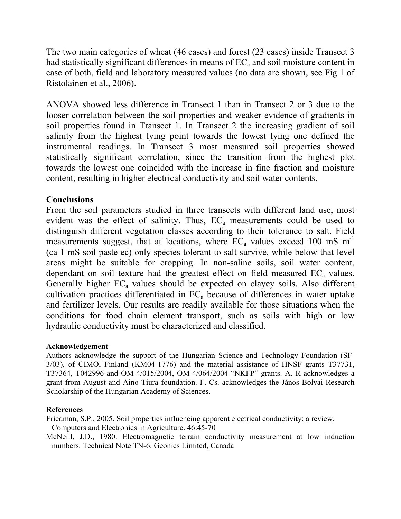The two main categories of wheat (46 cases) and forest (23 cases) inside Transect 3 had statistically significant differences in means of  $EC<sub>a</sub>$  and soil moisture content in case of both, field and laboratory measured values (no data are shown, see Fig 1 of Ristolainen et al., 2006).

ANOVA showed less difference in Transect 1 than in Transect 2 or 3 due to the looser correlation between the soil properties and weaker evidence of gradients in soil properties found in Transect 1. In Transect 2 the increasing gradient of soil salinity from the highest lying point towards the lowest lying one defined the instrumental readings. In Transect 3 most measured soil properties showed statistically significant correlation, since the transition from the highest plot towards the lowest one coincided with the increase in fine fraction and moisture content, resulting in higher electrical conductivity and soil water contents.

### **Conclusions**

From the soil parameters studied in three transects with different land use, most evident was the effect of salinity. Thus,  $EC_a$  measurements could be used to distinguish different vegetation classes according to their tolerance to salt. Field measurements suggest, that at locations, where  $EC_a$  values exceed 100 mS m<sup>-1</sup> (ca 1 mS soil paste ec) only species tolerant to salt survive, while below that level areas might be suitable for cropping. In non-saline soils, soil water content, dependant on soil texture had the greatest effect on field measured  $EC<sub>a</sub>$  values. Generally higher  $EC_a$  values should be expected on clayey soils. Also different cultivation practices differentiated in  $EC<sub>a</sub>$  because of differences in water uptake and fertilizer levels. Our results are readily available for those situations when the conditions for food chain element transport, such as soils with high or low hydraulic conductivity must be characterized and classified.

### **Acknowledgement**

Authors acknowledge the support of the Hungarian Science and Technology Foundation (SF-3/03), of CIMO, Finland (KM04-1776) and the material assistance of HNSF grants T37731, T37364, T042996 and OM-4/015/2004, OM-4/064/2004 "NKFP" grants. A. R acknowledges a grant from August and Aino Tiura foundation. F. Cs. acknowledges the János Bolyai Research Scholarship of the Hungarian Academy of Sciences.

### **References**

Friedman, S.P., 2005. Soil properties influencing apparent electrical conductivity: a review.

Computers and Electronics in Agriculture. 46:45-70

McNeill, J.D., 1980. Electromagnetic terrain conductivity measurement at low induction numbers. Technical Note TN-6. Geonics Limited, Canada